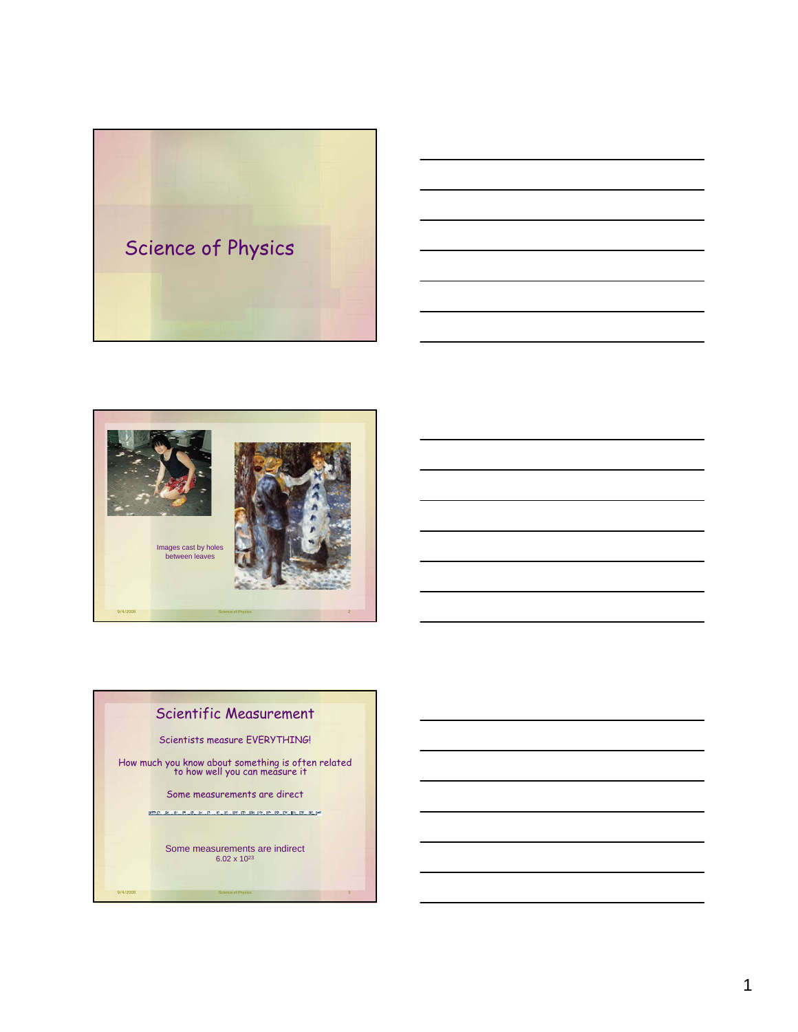



 $\overline{A}$ 



# Scientific Measurement

Scientists measure EVERYTHING!

How much you know about something is often related to how well you can measure it

Some measurements are direct

-<br>2001年1月1日 - 第11日 - 第11日 - 第11日 - 第11日 - 第11日 - 第11日 - 第11日 - 第11回 - 第11回 - 第11回 -

Some measurements are indirect 6.02 x 1023

extra 19/4/2005 Science of Physics 3 Science of Physics 3 Science of Physics 3 Science of Physics 3 Science of Physics 3 Science of Physics 3 Science of Physics 3 Science of Physics 3 Science of Physics 3 Science of Physic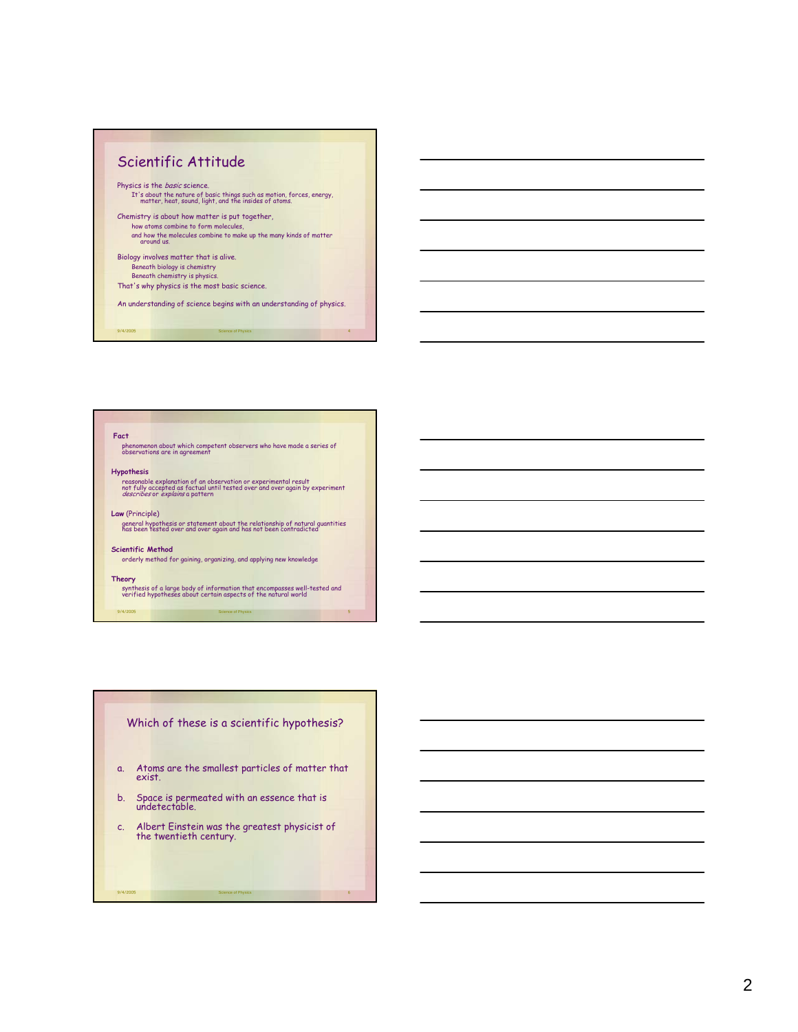

9/4/2005 Science of Physics 4

**Fact**

phenomenon about which competent observers who have made a series of observations are in agreement

### **Hypothesis**

reasonable explanation of an observation or experimental result<br>not fully accepted as factual until tested over and over again by experiment<br>*describes* or *explains* a pattern

#### **Law** (Principle)

general hypothesis or statement about the relationship of natural quantities has been tested over and over again and has not been contradicted

# **Scientific Method**

orderly method for gaining, organizing, and applying new knowledge

## **Theory**

9/4/2005 Science of Physics 5 synthesis of a large body of information that encompasses well-tested and verified hypotheses about certain aspects of the natural world

# Which of these is a scientific hypothesis?

- a. Atoms are the smallest particles of matter that exist.
- b. Space is permeated with an essence that is undetectable.
- c. Albert Einstein was the greatest physicist of the twentieth century.

9/4/2005 Science of Physics 6

 $\epsilon$